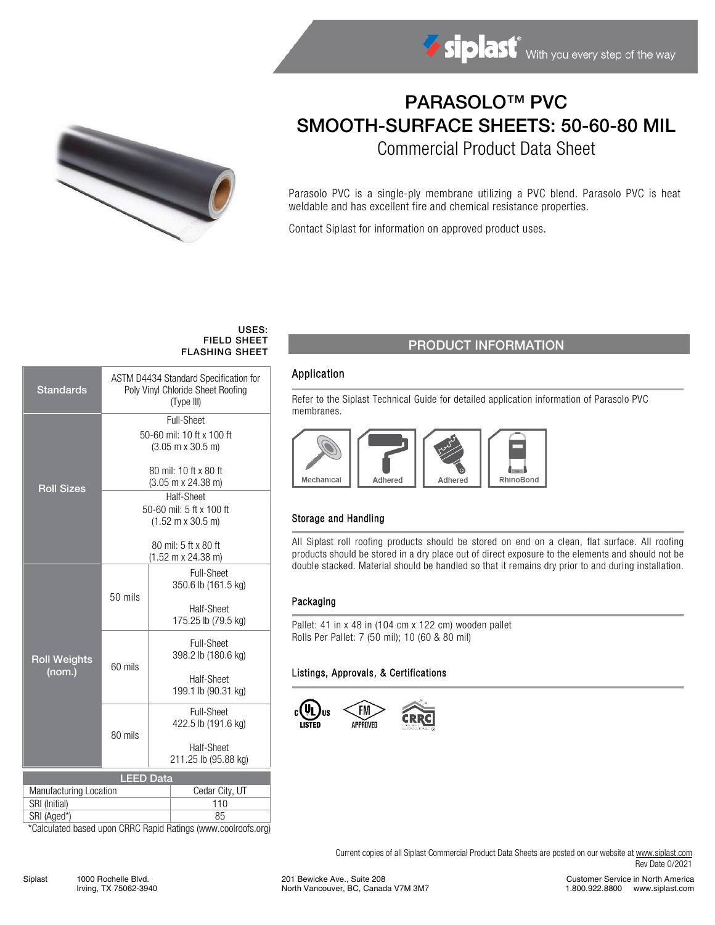

# PARASOLO™ PVC SMOOTH-SURFACE SHEETS: 50-60-80 MIL

Commercial Product Data Sheet

Parasolo PVC is a single-ply membrane utilizing a PVC blend. Parasolo PVC is heat weldable and has excellent fire and chemical resistance properties.

Contact Siplast for information on approved product uses.

#### USES: FIELD SHEET FLASHING SHEET

| <b>Standards</b>              | <b>ASTM D4434 Standard Specification for</b><br>Poly Vinyl Chloride Sheet Roofing<br>(Type III) |                                           |                                          |  |  |  |  |
|-------------------------------|-------------------------------------------------------------------------------------------------|-------------------------------------------|------------------------------------------|--|--|--|--|
| <b>Roll Sizes</b>             | Full-Sheet                                                                                      |                                           |                                          |  |  |  |  |
|                               |                                                                                                 |                                           | 50-60 mil: 10 ft x 100 ft                |  |  |  |  |
|                               | $(3.05 \text{ m} \times 30.5 \text{ m})$                                                        |                                           |                                          |  |  |  |  |
|                               | 80 mil: 10 ft x 80 ft                                                                           |                                           |                                          |  |  |  |  |
|                               | $(3.05 \text{ m} \times 24.38 \text{ m})$                                                       |                                           |                                          |  |  |  |  |
|                               | Half-Sheet<br>50-60 mil: 5 ft x 100 ft                                                          |                                           |                                          |  |  |  |  |
|                               | $(1.52 \text{ m} \times 30.5 \text{ m})$                                                        |                                           |                                          |  |  |  |  |
|                               |                                                                                                 |                                           |                                          |  |  |  |  |
|                               | 80 mil: 5 ft x 80 ft<br>$(1.52 \text{ m} \times 24.38 \text{ m})$                               |                                           |                                          |  |  |  |  |
|                               |                                                                                                 |                                           |                                          |  |  |  |  |
| <b>Roll Weights</b><br>(nom.) | 50 mils                                                                                         |                                           | <b>Full-Sheet</b><br>350.6 lb (161.5 kg) |  |  |  |  |
|                               |                                                                                                 |                                           |                                          |  |  |  |  |
|                               |                                                                                                 |                                           | Half-Sheet                               |  |  |  |  |
|                               |                                                                                                 |                                           | 175.25 lb (79.5 kg)                      |  |  |  |  |
|                               |                                                                                                 | <b>Full-Sheet</b>                         |                                          |  |  |  |  |
|                               |                                                                                                 |                                           | 398.2 lb (180.6 kg)                      |  |  |  |  |
|                               | 60 mils                                                                                         | Half-Sheet                                |                                          |  |  |  |  |
|                               |                                                                                                 |                                           | 199.1 lb (90.31 kg)                      |  |  |  |  |
|                               |                                                                                                 |                                           | Full-Sheet                               |  |  |  |  |
|                               |                                                                                                 |                                           | 422.5 lb (191.6 kg)                      |  |  |  |  |
|                               | 80 mils                                                                                         |                                           |                                          |  |  |  |  |
|                               |                                                                                                 | <b>Half-Sheet</b><br>211.25 lb (95.88 kg) |                                          |  |  |  |  |
| <b>LEED Data</b>              |                                                                                                 |                                           |                                          |  |  |  |  |
| Manufacturing Location        |                                                                                                 | Cedar City, UT                            |                                          |  |  |  |  |
| SRI (Initial)                 |                                                                                                 | 110                                       |                                          |  |  |  |  |
| SRI (Aged*)                   |                                                                                                 | 85                                        |                                          |  |  |  |  |

\*Calculated based upon CRRC Rapid Ratings (www.coolroofs.org)

## PRODUCT INFORMATION

### Application

Refer to the Siplast Technical Guide for detailed application information of Parasolo PVC membranes.



#### Storage and Handling

All Siplast roll roofing products should be stored on end on a clean, flat surface. All roofing products should be stored in a dry place out of direct exposure to the elements and should not be double stacked. Material should be handled so that it remains dry prior to and during installation.

#### Packaging

Pallet: 41 in x 48 in (104 cm x 122 cm) wooden pallet Rolls Per Pallet: 7 (50 mil); 10 (60 & 80 mil)

#### Listings, Approvals, & Certifications



Current copies of all Siplast Commercial Product Data Sheets are posted on our website a[t www.siplast.com](http://www.siplast.com/) Rev Date 0/2021